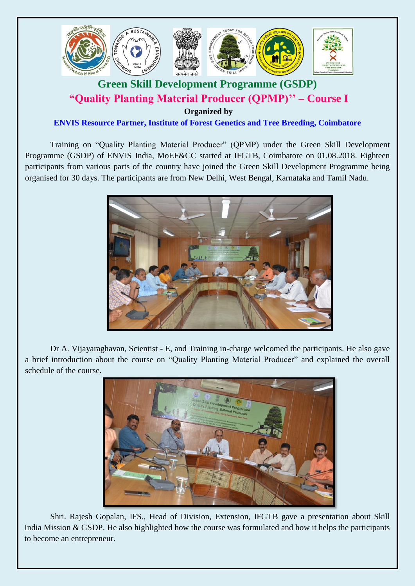

## **Green Skill Development Programme (GSDP) "Quality Planting Material Producer (QPMP)'' – Course I**

**Organized by**

**ENVIS Resource Partner, Institute of Forest Genetics and Tree Breeding, Coimbatore**

Training on "Quality Planting Material Producer" (QPMP) under the Green Skill Development Programme (GSDP) of ENVIS India, MoEF&CC started at IFGTB, Coimbatore on 01.08.2018. Eighteen participants from various parts of the country have joined the Green Skill Development Programme being organised for 30 days. The participants are from New Delhi, West Bengal, Karnataka and Tamil Nadu.



Dr A. Vijayaraghavan, Scientist - E, and Training in-charge welcomed the participants. He also gave a brief introduction about the course on "Quality Planting Material Producer" and explained the overall schedule of the course.



Shri. Rajesh Gopalan, IFS., Head of Division, Extension, IFGTB gave a presentation about Skill India Mission & GSDP. He also highlighted how the course was formulated and how it helps the participants to become an entrepreneur.